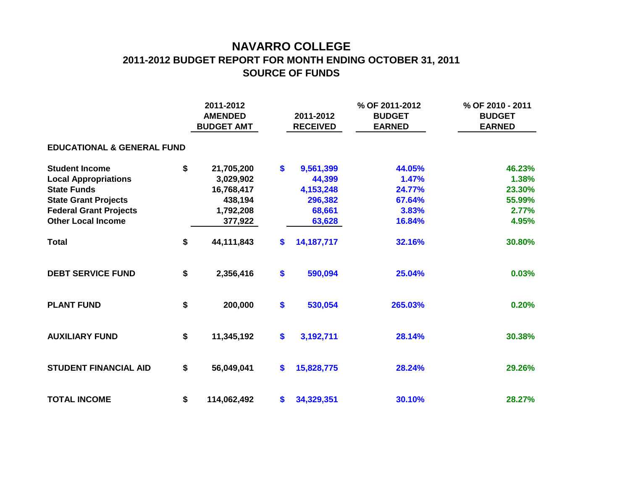## **NAVARRO COLLEGE 2011-2012 BUDGET REPORT FOR MONTH ENDING OCTOBER 31, 2011 SOURCE OF FUNDS**

|                                       |    | 2011-2012<br><b>AMENDED</b><br><b>BUDGET AMT</b> |    | 2011-2012<br><b>RECEIVED</b> | % OF 2011-2012<br><b>BUDGET</b><br><b>EARNED</b> | % OF 2010 - 2011<br><b>BUDGET</b><br><b>EARNED</b> |  |  |  |  |  |  |  |
|---------------------------------------|----|--------------------------------------------------|----|------------------------------|--------------------------------------------------|----------------------------------------------------|--|--|--|--|--|--|--|
| <b>EDUCATIONAL &amp; GENERAL FUND</b> |    |                                                  |    |                              |                                                  |                                                    |  |  |  |  |  |  |  |
| <b>Student Income</b>                 | \$ | 21,705,200                                       | \$ | 9,561,399                    | 44.05%                                           | 46.23%                                             |  |  |  |  |  |  |  |
| <b>Local Appropriations</b>           |    | 3,029,902                                        |    | 44,399                       | 1.47%                                            | 1.38%                                              |  |  |  |  |  |  |  |
| <b>State Funds</b>                    |    | 16,768,417                                       |    | 4,153,248                    | 24.77%                                           | 23.30%                                             |  |  |  |  |  |  |  |
| <b>State Grant Projects</b>           |    | 438,194                                          |    | 296,382                      | 67.64%                                           | 55.99%                                             |  |  |  |  |  |  |  |
| <b>Federal Grant Projects</b>         |    | 1,792,208                                        |    | 68,661                       | 3.83%                                            | 2.77%                                              |  |  |  |  |  |  |  |
| <b>Other Local Income</b>             |    | 377,922                                          |    | 63,628                       | 16.84%                                           | 4.95%                                              |  |  |  |  |  |  |  |
| <b>Total</b>                          | \$ | 44,111,843                                       | \$ | 14, 187, 717                 | 32.16%                                           | 30.80%                                             |  |  |  |  |  |  |  |
| <b>DEBT SERVICE FUND</b>              | \$ | 2,356,416                                        | \$ | 590,094                      | 25.04%                                           | 0.03%                                              |  |  |  |  |  |  |  |
| <b>PLANT FUND</b>                     | \$ | 200,000                                          | \$ | 530,054                      | 265.03%                                          | 0.20%                                              |  |  |  |  |  |  |  |
| <b>AUXILIARY FUND</b>                 | \$ | 11,345,192                                       | \$ | 3,192,711                    | 28.14%                                           | 30.38%                                             |  |  |  |  |  |  |  |
| <b>STUDENT FINANCIAL AID</b>          | \$ | 56,049,041                                       | \$ | 15,828,775                   | 28.24%                                           | 29.26%                                             |  |  |  |  |  |  |  |
| <b>TOTAL INCOME</b>                   | \$ | 114,062,492                                      | \$ | 34,329,351                   | 30.10%                                           | 28.27%                                             |  |  |  |  |  |  |  |